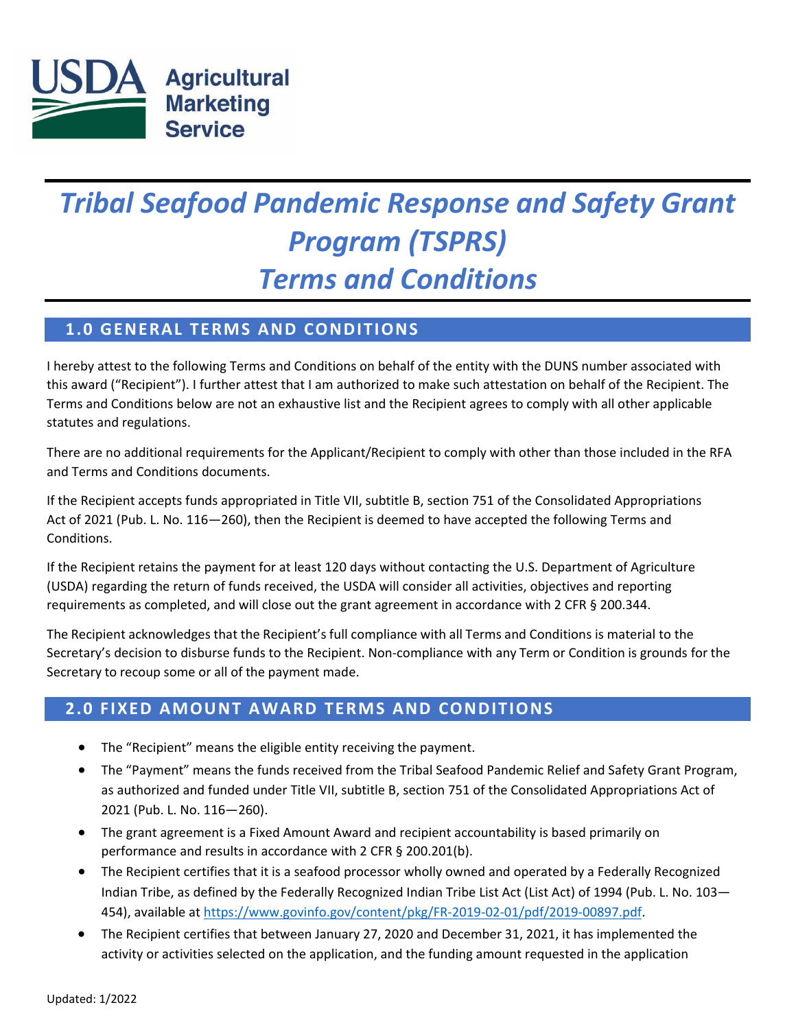

# *Tribal Seafood Pandemic Response and Safety Grant Program (TSPRS) Terms and Conditions*

# **1.0 GENERAL TERMS AND CONDITIONS**

I hereby attest to the following Terms and Conditions on behalf of the entity with the DUNS number associated with this award ("Recipient"). I further attest that I am authorized to make such attestation on behalf of the Recipient. The Terms and Conditions below are not an exhaustive list and the Recipient agrees to comply with all other applicable statutes and regulations.

There are no additional requirements for the Applicant/Recipient to comply with other than those included in the RFA and Terms and Conditions documents.

If the Recipient accepts funds appropriated in Title VII, subtitle B, section 751 of the Consolidated Appropriations Act of 2021 (Pub. L. No. 116—260), then the Recipient is deemed to have accepted the following Terms and Conditions.

If the Recipient retains the payment for at least 120 days without contacting the U.S. Department of Agriculture (USDA) regarding the return of funds received, the USDA will consider all activities, objectives and reporting requirements as completed, and will close out the grant agreement in accordance with 2 CFR § 200.344.

The Recipient acknowledges that the Recipient's full compliance with all Terms and Conditions is material to the Secretary's decision to disburse funds to the Recipient. Non-compliance with any Term or Condition is grounds for the Secretary to recoup some or all of the payment made.

# **2.0 FIXED AMOUNT AWARD TERMS AND CONDITIONS**

- The "Recipient" means the eligible entity receiving the payment.
- The "Payment" means the funds received from the Tribal Seafood Pandemic Relief and Safety Grant Program, as authorized and funded under Title VII, subtitle B, section 751 of the Consolidated Appropriations Act of 2021 (Pub. L. No. 116—260).
- The grant agreement is a Fixed Amount Award and recipient accountability is based primarily on performance and results in accordance with 2 CFR § 200.201(b).
- The Recipient certifies that it is a seafood processor wholly owned and operated by a Federally Recognized Indian Tribe, as defined by the Federally Recognized Indian Tribe List Act (List Act) of 1994 [\(Pub.](https://www.govinfo.gov/content/pkg/USCODE-2016-title25/pdf/USCODE-2016-title25-chap45-sec5131.pdf) L. No. 103— 454), available at [https://www.govinfo.gov/content/pkg/FR-2019-02-01/pdf/2019-00897.pdf.](https://www.govinfo.gov/content/pkg/FR-2019-02-01/pdf/2019-00897.pdf)
- The Recipient certifies that between January 27, 2020 and December 31, 2021, it has implemented the activity or activities selected on the application, and the funding amount requested in the application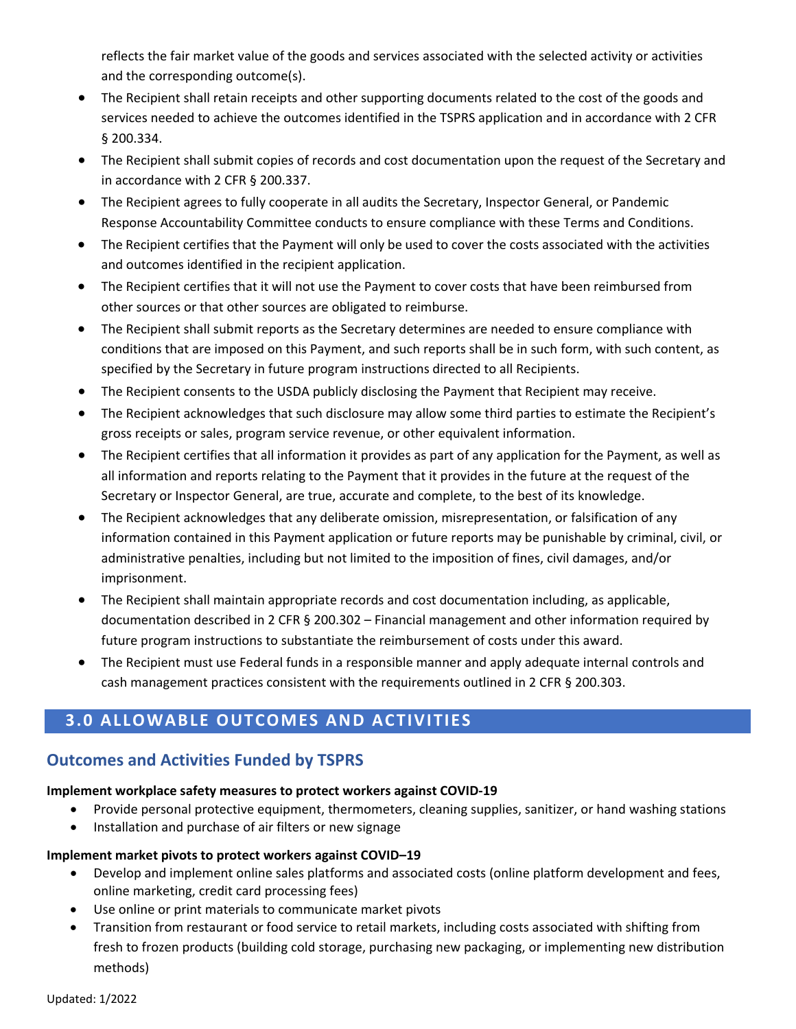reflects the fair market value of the goods and services associated with the selected activity or activities and the corresponding outcome(s).

- The Recipient shall retain receipts and other supporting documents related to the cost of the goods and services needed to achieve the outcomes identified in the TSPRS application and in accordance with 2 CFR § 200.334.
- The Recipient shall submit copies of records and cost documentation upon the request of the Secretary and in accordance with 2 CFR § 200.337.
- The Recipient agrees to fully cooperate in all audits the Secretary, Inspector General, or Pandemic Response Accountability Committee conducts to ensure compliance with these Terms and Conditions.
- The Recipient certifies that the Payment will only be used to cover the costs associated with the activities and outcomes identified in the recipient application.
- The Recipient certifies that it will not use the Payment to cover costs that have been reimbursed from other sources or that other sources are obligated to reimburse.
- The Recipient shall submit reports as the Secretary determines are needed to ensure compliance with conditions that are imposed on this Payment, and such reports shall be in such form, with such content, as specified by the Secretary in future program instructions directed to all Recipients.
- The Recipient consents to the USDA publicly disclosing the Payment that Recipient may receive.
- The Recipient acknowledges that such disclosure may allow some third parties to estimate the Recipient's gross receipts or sales, program service revenue, or other equivalent information.
- The Recipient certifies that all information it provides as part of any application for the Payment, as well as all information and reports relating to the Payment that it provides in the future at the request of the Secretary or Inspector General, are true, accurate and complete, to the best of its knowledge.
- The Recipient acknowledges that any deliberate omission, misrepresentation, or falsification of any information contained in this Payment application or future reports may be punishable by criminal, civil, or administrative penalties, including but not limited to the imposition of fines, civil damages, and/or imprisonment.
- The Recipient shall maintain appropriate records and cost documentation including, as applicable, documentation described in 2 CFR § 200.302 – Financial management and other information required by future program instructions to substantiate the reimbursement of costs under this award.
- The Recipient must use Federal funds in a responsible manner and apply adequate internal controls and cash management practices consistent with the requirements outlined in 2 CFR § 200.303.

# **3.0 ALLOWABLE OUTCOMES AND ACTIVITIES**

### **Outcomes and Activities Funded by TSPRS**

#### **Implement workplace safety measures to protect workers against COVID-19**

- Provide personal protective equipment, thermometers, cleaning supplies, sanitizer, or hand washing stations
- Installation and purchase of air filters or new signage

#### **Implement market pivots to protect workers against COVID–19**

- Develop and implement online sales platforms and associated costs (online platform development and fees, online marketing, credit card processing fees)
- Use online or print materials to communicate market pivots
- Transition from restaurant or food service to retail markets, including costs associated with shifting from fresh to frozen products (building cold storage, purchasing new packaging, or implementing new distribution methods)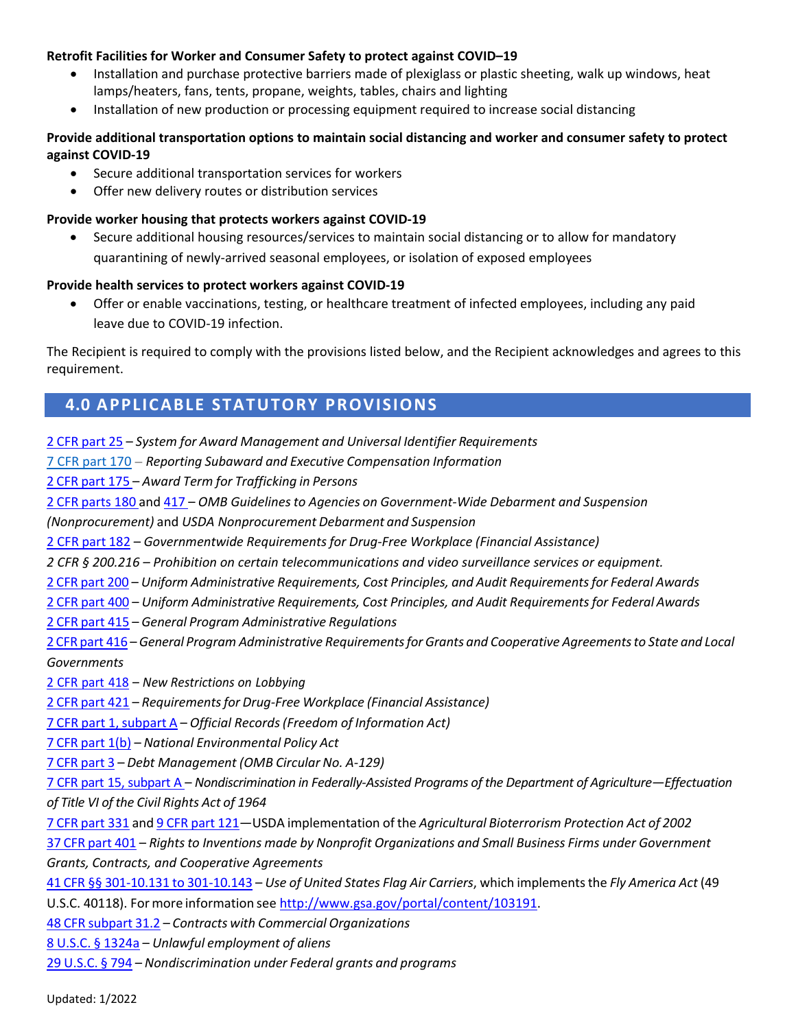#### **Retrofit Facilities for Worker and Consumer Safety to protect against COVID–19**

- Installation and purchase protective barriers made of plexiglass or plastic sheeting, walk up windows, heat lamps/heaters, fans, tents, propane, weights, tables, chairs and lighting
- Installation of new production or processing equipment required to increase social distancing

#### **Provide additional transportation options to maintain social distancing and worker and consumer safety to protect against COVID-19**

- Secure additional transportation services for workers
- Offer new delivery routes or distribution services

#### **Provide worker housing that protects workers against COVID-19**

• Secure additional housing resources/services to maintain social distancing or to allow for mandatory quarantining of newly-arrived seasonal employees, or isolation of exposed employees

#### **Provide health services to protect workers against COVID-19**

• Offer or enable vaccinations, testing, or healthcare treatment of infected employees, including any paid leave due to COVID-19 infection.

The Recipient is required to comply with the provisions listed below, and the Recipient acknowledges and agrees to this requirement.

# **4.0 APPLICABLE STATUTORY PROVISIONS**

2 CFR [part](https://ecfr.federalregister.gov/current/title-2/subtitle-A/chapter-I/part-25) 25 – *System for Award Management and Universal Identifier Requirements*

[7 CFR part 170](https://ecfr.federalregister.gov/current/title-2/subtitle-A/chapter-I/part-170) – *Reporting Subaward and Executive Compensation Information*

2 CFR [part](https://ecfr.federalregister.gov/current/title-2/subtitle-A/chapter-I/part-175) 175 – *Award Term for Trafficking in Persons*

2 CFR [parts](https://ecfr.federalregister.gov/current/title-2/subtitle-A/chapter-I/part-180) 180 and [417](https://ecfr.federalregister.gov/current/title-2/subtitle-B/chapter-IV/part-417) – *OMB Guidelines to Agencies on Government-Wide Debarment and Suspension*

*(Nonprocurement)* and *USDA Nonprocurement Debarment and Suspension*

2 CFR [part](https://ecfr.federalregister.gov/current/title-2/subtitle-A/chapter-I/part-182) 182 – *Governmentwide Requirements for Drug-Free Workplace (Financial Assistance)*

*2 CFR § 200.216 – Prohibition on certain telecommunications and video surveillance services or equipment.*

2 CFR [part](https://ecfr.federalregister.gov/current/title-2/subtitle-A/chapter-II/part-200) 200 – *Uniform Administrative Requirements, Cost Principles, and Audit Requirementsfor Federal Awards*

2 CFR [part](https://ecfr.federalregister.gov/current/title-2/subtitle-B/chapter-IV/part-400) 400 – *Uniform Administrative Requirements, Cost Principles, and Audit Requirementsfor Federal Awards*

2 CFR [part](https://ecfr.federalregister.gov/current/title-2/subtitle-B/chapter-IV/part-415) 415 – *General Program Administrative Regulations*

2 CFR [part](https://ecfr.federalregister.gov/current/title-2/subtitle-B/chapter-IV/part-416) 416 –*General Program Administrative Requirementsfor Grants and Cooperative Agreementsto State and Local Governments*

2 CFR [part](https://ecfr.federalregister.gov/current/title-2/subtitle-B/chapter-IV/part-418) 418 – *New Restrictions on Lobbying*

2 CFR [part](https://ecfr.federalregister.gov/current/title-2/subtitle-B/chapter-IV/part-421) 421 – *Requirementsfor Drug-Free Workplace (Financial Assistance)*

7 CFR part [1,subpart](https://ecfr.federalregister.gov/current/title-7/subtitle-A/part-1#subpart-A) A – *Official Records(Freedom of Information Act)*

7 CFR [part](https://ecfr.federalregister.gov/current/title-7/subtitle-A/part-1b) 1(b) – *National Environmental Policy Act*

7 CFR [part](https://ecfr.federalregister.gov/current/title-7/subtitle-A/part-3) 3 – *Debt Management (OMB Circular No. A-129)*

7 CFR part 15, [subpart](https://ecfr.federalregister.gov/current/title-7/subtitle-A/part-15) A – *Nondiscrimination in Federally-Assisted Programs of the Department of Agriculture—Effectuation of Title VI of the Civil Rights Act of 1964*

7 CFR [part](https://ecfr.federalregister.gov/current/title-7/subtitle-B/chapter-III/part-331) 331 and 9 CFR [part](https://ecfr.federalregister.gov/current/title-9/chapter-I/subchapter-E/part-121) 121—USDA implementation of the *Agricultural Bioterrorism Protection Act of 2002*

37 CFR [part](https://ecfr.federalregister.gov/current/title-37/chapter-IV/part-401) 401 – *Rights to Inventions made by Nonprofit Organizations and Small Business Firms under Government Grants, Contracts, and Cooperative Agreements*

41 CFR §§ 301-10.131 to [301-10.143](https://ecfr.federalregister.gov/current/title-41/subtitle-F/chapter-301) – *Use of United States Flag Air Carriers*, which implementsthe *Fly America Act* (49 U.S.C. 40118). Formore information see [http://www.gsa.gov/portal/content/103191.](http://www.gsa.gov/portal/content/103191)

48 CFR [subpart](https://ecfr.federalregister.gov/current/title-48/chapter-1/subchapter-E) 31.2 – *Contracts with Commercial Organizations*

8 U.S.C. § [1324a](https://www.gpo.gov/fdsys/pkg/USCODE-2011-title8/pdf/USCODE-2011-title8-chap12-subchapII-partVIII-sec1324a.pdf) – *Unlawful employment of aliens*

29 [U.S.C.](https://www.gpo.gov/fdsys/granule/USCODE-2011-title29/USCODE-2011-title29-chap16-subchapV-sec794) § 794 – *Nondiscrimination under Federal grants and programs*